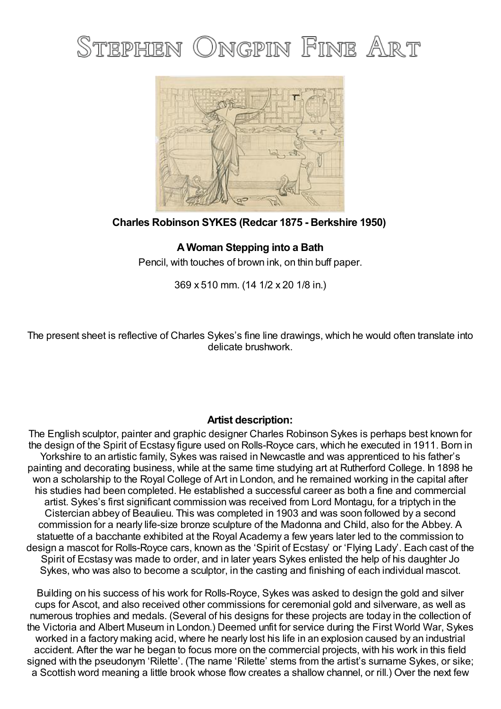## STEPHEN ONGPIN FINE ART



**Charles Robinson SYKES (Redcar 1875 - Berkshire 1950)**

## **A Woman Stepping into a Bath**

Pencil, with touches of brown ink, on thin buff paper.

369 x 510 mm. (14 1/2 x 20 1/8 in.)

The present sheet is reflective of Charles Sykes's fine line drawings, which he would often translate into delicate brushwork.

## **Artist description:**

The English sculptor, painter and graphic designer Charles Robinson Sykes is perhaps best known for the design of the Spirit of Ecstasy figure used on Rolls-Royce cars, which he executed in 1911. Born in Yorkshire to an artistic family, Sykes was raised in Newcastle and was apprenticed to his father's painting and decorating business, while at the same time studying art at Rutherford College. In 1898 he won a scholarship to the Royal College of Art in London, and he remained working in the capital after his studies had been completed. He established a successful career as both a fine and commercial artist. Sykes's first significant commission was received from Lord Montagu, for a triptych in the Cistercian abbey of Beaulieu. This was completed in 1903 and was soon followed by a second commission for a nearly life-size bronze sculpture of the Madonna and Child, also for the Abbey. A statuette of a bacchante exhibited at the Royal Academy a few years later led to the commission to design a mascot for Rolls-Royce cars, known as the 'Spirit of Ecstasy' or 'Flying Lady'. Each cast of the Spirit of Ecstasy was made to order, and in later years Sykes enlisted the help of his daughter Jo Sykes, who was also to become a sculptor, in the casting and finishing of each individual mascot.

Building on his success of his work for Rolls-Royce, Sykes was asked to design the gold and silver cups for Ascot, and also received other commissions for ceremonial gold and silverware, as well as numerous trophies and medals. (Several of his designs for these projects are today in the collection of the Victoria and Albert Museum in London.) Deemed unfit for service during the First World War, Sykes worked in a factory making acid, where he nearly lost his life in an explosion caused by an industrial accident. After the war he began to focus more on the commercial projects, with his work in this field signed with the pseudonym 'Rilette'. (The name 'Rilette' stems from the artist's surname Sykes, or sike; a Scottish word meaning a little brook whose flow creates a shallow channel, or rill.) Over the next few